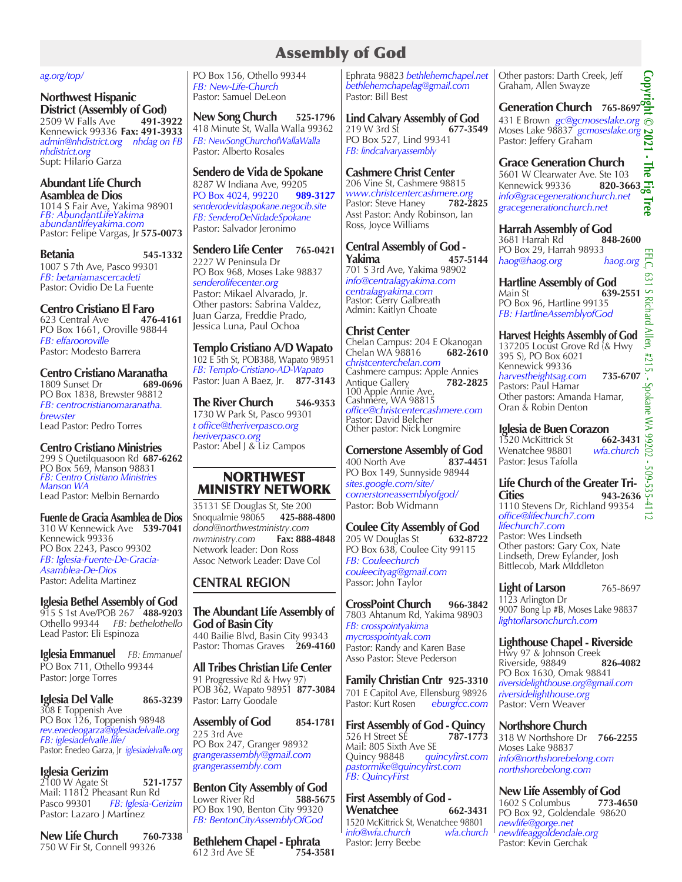# Assembly of God

#### *ag.org/top/*

**Northwest Hispanic District (Assembly of God)**<br>2509 W Falls Ave 491-3922

2509 W Falls Ave **491-3922** Kennewick 99336 **Fax: 491-3933** *admin@nhdistrict.org nhdag on FB nhdistrict.org* Supt: Hilario Garza

# **Abundant Life Church Asamblea de Dios**

1014 S Fair Ave, Yakima 98901 *FB: AbundantLifeYakima abundantlifeyakima.com* Pastor: Felipe Vargas, Jr **575-0073**

**Betania 545-1332** 1007 S 7th Ave, Pasco 99301 *FB: betaniamascercadeti* Pastor: Ovidio De La Fuente

**Centro Cristiano El Faro**<br>623 Central Ave **476-4161** 623 Central Ave PO Box 1661, Oroville 98844 *FB: elfarooroville* Pastor: Modesto Barrera

# **Centro Cristiano Maranatha**<br>1809 Sunset Dr<br>689-0696

1809 Sunset Dr PO Box 1838, Brewster 98812 *FB: centrocristianomaranatha. brewster* Lead Pastor: Pedro Torres

# **Centro Cristiano Ministries**

299 S Quetilquasoon Rd **687-6262** PO Box 569, Manson 98831 *FB: Centro Cristiano Ministries Manson WA* Lead Pastor: Melbin Bernardo

**Fuente de Gracia Asamblea de Dios**  310 W Kennewick Ave **539-7041** Kennewick 99336 PO Box 2243, Pasco 99302 *FB: Iglesia-Fuente-De-Gracia-Asamblea-De-Dios* Pastor: Adelita Martinez

#### **Iglesia Bethel Assembly of God** 915 S 1st Ave/POB 267 **488-9203** Othello 99344 *FB: bethelothello*

Lead Pastor: Eli Espinoza **Iglesia Emmanuel** *FB: Emmanuel* PO Box 711, Othello 99344

Pastor: Jorge Torres

**Iglesia Del Valle** 865-3239 308 E Toppenish Ave PO Box 126, Toppenish 98948 *rev.enedeogarza@iglesiadelvalle.org FB: iglesiadelvalle.life/* Pastor: Enedeo Garza, Jr *iglesiadelvalle.org*

**Iglesia Gerizim** 

2100 W Agate St **521-1757** Mail: 11812 Pheasant Run Rd Pasco 99301 *FB: Iglesia-Gerizim* Pastor: Lazaro J Martinez

**New Life Church 760-7338** 750 W Fir St, Connell 99326

PO Box 156, Othello 99344 *FB: New-Life-Church* Pastor: Samuel DeLeon

**New Song Church 525-1796** 418 Minute St, Walla Walla 99362 *FB: NewSongChurchofWallaWalla* Pastor: Alberto Rosales

**Sendero de Vida de Spokane** 8287 W Indiana Ave, 99205<br>PO Box 4024, 99220 989-3127 PO Box 4024, 99220 *senderodevidaspokane.negocib.site FB: SenderoDeNidadeSpokane* Pastor: Salvador Jeronimo

#### **Sendero Life Center 765-0421** 2227 W Peninsula Dr

PO Box 968, Moses Lake 98837 *senderolifecenter.org*  Pastor: Mikael Alvarado, Jr. Other pastors: Sabrina Valdez, Juan Garza, Freddie Prado, Jessica Luna, Paul Ochoa

**Templo Cristiano A/D Wapato** 102 E 5th St, POB388, Wapato 98951 *FB: Templo-Cristiano-AD-Wapato* Pastor: Juan A Baez, Jr. **877-3143**

**The River Church 546-9353** 1730 W Park St, Pasco 99301 *t office@theriverpasco.org heriverpasco.org* Pastor: Abel J & Liz Campos

# NORTHWEST MINISTRY NETWORK

35131 SE Douglas St, Ste 200 Snoqualmie 98065 **425-888-4800** *dond@northwestministry.com nwministry.com* **Fax: 888-4848** Network leader: Don Ross Assoc Network Leader: Dave Col

# **CENTRAL REGION**

**The Abundant Life Assembly of God of Basin City** 440 Bailie Blvd, Basin City 99343 Pastor: Thomas Graves 269-4160

**All Tribes Christian Life Center**  91 Progressive Rd & Hwy 97) POB 362, Wapato 98951 **877-3084** Pastor: Larry Goodale

**Assembly of God 854-1781** 225 3rd Ave PO Box 247, Granger 98932 *grangerassembly@gmail.com grangerassembly.com*

**Benton City Assembly of God** Lower River Rd **588-5675** PO Box 190, Benton City 99320 *FB: BentonCityAssemblyOfGod*

**Bethlehem Chapel - Ephrata** 612 3rd Ave SE **754-3581**

Ephrata 98823 *bethlehemchapel.net bethlehemchapelag@gmail.com* Pastor: Bill Best

**Lind Calvary Assembly of God**  219 W 3rd St PO Box 527, Lind 99341 *FB: lindcalvaryassembly*

# **Cashmere Christ Center**

206 Vine St, Cashmere 98815 *www.christcentercashmere.org* Pastor: Steve Haney Asst Pastor: Andy Robinson, Ian Ross, Joyce Williams

**Central Assembly of God - Yakima 457-5144** 701 S 3rd Ave, Yakima 98902 *info@centralagyakima.com centralagyakima.com* Pastor: Gerry Galbreath Admin: Kaitlyn Choate

# **Christ Center**

Chelan Campus: 204 E Okanogan Chelan WA 98816 **682-2610** *christcenterchelan.com* Cashmere campus: Apple Annies<br>Antique Gallery 782-2825 Antique Gallery 100 Apple Annie Ave, Cashmere, WA 98815 *office@christcentercashmere.com* Pastor: David Belcher Other pastor: Nick Longmire

**Cornerstone Assembly of God**<br>400 North Ave **837-4451** 400 North Ave PO Box 149, Sunnyside 98944 *sites.google.com/site/ cornerstoneassemblyofgod/* Pastor: Bob Widmann

**Coulee City Assembly of God**<br>205 W Douglas St 632-8722 205 W Douglas St PO Box 638, Coulee City 99115 *FB: Couleechurch couleecityag@gmail.com* Passor: John Taylor

**CrossPoint Church 966-3842** 7803 Ahtanum Rd, Yakima 98903 *FB: crosspointyakima mycrosspointyak.com* Pastor: Randy and Karen Base Asso Pastor: Steve Pederson

**Family Christian Cntr 925-3310** 701 E Capitol Ave, Ellensburg 98926<br>Pastor: Kurt Rosen eburgfcc.com Pastor: Kurt Rosen

**First Assembly of God - Quincy**<br>526 H Street SE 787-1773 526 H Street SÉ Mail: 805 Sixth Ave SE<br>Quincy 98848 *qui* Quincy 98848 *quincyfirst.com pastormike@quincyfirst.com FB: QuincyFirst*

**First Assembly of God - Wenatchee 662-3431** 1520 McKittrick St, Wenatchee 98801<br>
info@wfa.church wfa.church  $info@wfa.church'$ Pastor: Jerry Beebe

Other pastors: Darth Creek, Jeff Graham, Allen Swayze

# Generation Church 765-8697

431 E Brown *gc@gcmoseslake.org* Moses Lake 98837 *gcmoseslake.org* Pastor: Jeffery Graham **Copyright © 2021 - The Fig Tree** 

# **Grace Generation Church**

The 5601 W Clearwater Ave. Ste 103 Kennewick 99336 *info@gracegenerationchurch.net* Irec *gracegenerationchurch.net*

**Harrah Assembly of God** 3681 Harrah Rd **848-2600** 

PO Box 29, Harrah 98933 *haog@haog.org haog.org*

**Hartline Assembly of God**<br>Main St 639 Main St **639-2551** PO Box 96, Hartline 99135 *FB: HartlineAssemblyofGod* 

# **Harvest Heights Assembly of God**

137205 Locust Grove Rd (& Hwy 395 S), PO Box 6021 Kennewick 99336 *harvestheightsag.com* **735-6707**<br>
Pastors: Paul Hamar<br>
Other pastors: Amanda Hamar,<br>
Oran & Robin Denton<br> **Iglesia de Buen Corazon**<br>
1520 McKittrick St **662-3431**<br>
Wenatchee 98801 *wfa.church* Pastors: Paul Hamar Other pastors: Amanda Hamar, Oran & Robin Denton

**Iglesia de Buen Corazon** 1520 McKittrick St Wenatchee 98801 *wfa.church* Pastor: Jesus Tafolla

# **Life Church of the Greater Tri-** $943-2636$ <sup>C</sup> 1110 Stevens Dr, Richland 99354

*office@lifechurch7.com lifechurch7.com* Pastor: Wes Lindseth Other pastors: Gary Cox, Nate Lindseth, Drew Eylander, Josh Bittlecob, Mark MIddleton

**Light of Larson** 765-8697 1123 Arlington Dr 9007 Bong Lp #B, Moses Lake 98837 *lightoflarsonchurch.com*

**Lighthouse Chapel - Riverside** Hwy 97 & Johnson Creek<br>Riverside, 98849 **826-4082** Riverside, 98849 **826-4082** PO Box 1630, Omak 98841 *riversidelighthouse.org@gmail.com riversidelighthouse.org* Pastor: Vern Weaver

**Northshore Church** 

318 W Northshore Dr **766-2255** Moses Lake 98837 *info@northshorebelong.com northshorebelong.com*

**New Life Assembly of God**<br>1602 S Columbus **773-4650** 1602 S Columbus PO Box 92, Goldendale 98620 *newlife@gorge.net newlifeaggoldendale.org* Pastor: Kevin Gerchak

Ŷ.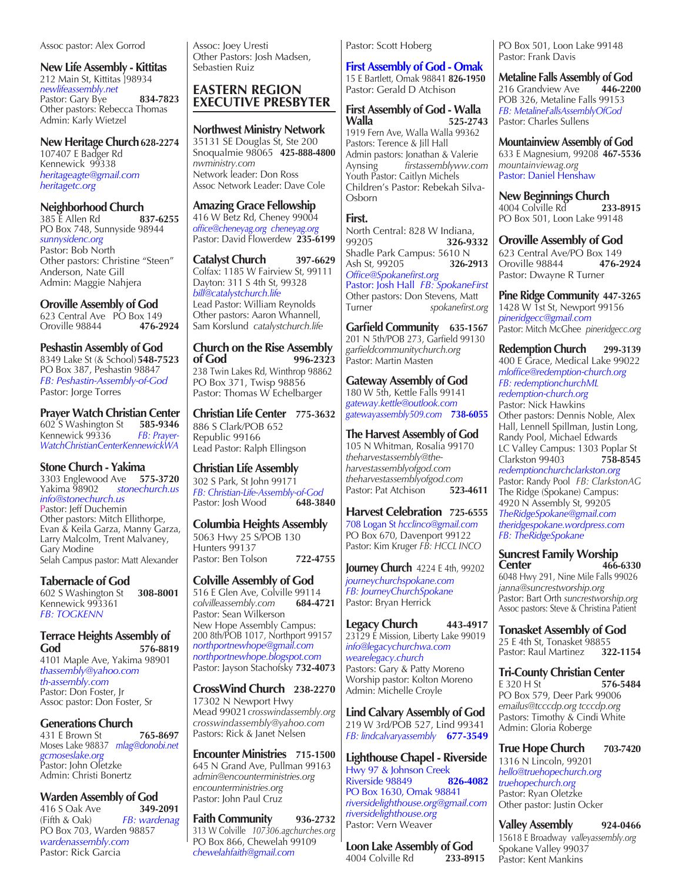Assoc pastor: Alex Gorrod

**New Life Assembly - Kittitas** 212 Main St, Kittitas ]98934 *newlifeassembly.net* Pastor: Gary Bye **834-7823** Other pastors: Rebecca Thomas Admin: Karly Wietzel

New Heritage Church 628-2274 107407 E Badger Rd Kennewick 99338 *heritageagte@gmail.com heritagetc.org*

**Neighborhood Church**<br>385 E Allen Rd<br>**837-6255** 385 E Allen Rd **837-6255** PO Box 748, Sunnyside 98944 *sunnysidenc.org* Pastor: Bob North Other pastors: Christine "Steen" Anderson, Nate Gill Admin: Maggie Nahjera

**Oroville Assembly of God** 623 Central Ave PO Box 149<br>Oroville 98844 **476-2924** Oroville 98844 **476-2924**

**Peshastin Assembly of God** 8349 Lake St (& School)**548-7523** PO Box 387, Peshastin 98847 *FB: Peshastin-Assembly-of-God* Pastor: Jorge Torres

**Prayer Watch Christian Center** 602 S Washington St **585-9346** 602 S Washington St **585-9346** Kennewick 99336 *WatchChristianCenterKennewickWA*

**Stone Church - Yakima** 3303 Englewood Ave **575-3720** stonechurch.us *info@stonechurch.us* Pastor: Jeff Duchemin Other pastors: Mitch Ellithorpe, Evan & Keila Garza, Manny Garza, Larry Malcolm, Trent Malvaney, Gary Modine Selah Campus pastor: Matt Alexander

**Tabernacle of God**  602 S Washington St **308-8001** Kennewick 993361 *FB: TOGKENN*

**Terrace Heights Assembly of God 576-8819** 4101 Maple Ave, Yakima 98901 *thassembly@yahoo.com th-assembly.com*  Pastor: Don Foster, Jr Assoc pastor: Don Foster, Sr

**Generations Church**  431 E Brown St **765-8697** Moses Lake 98837*mlag@donobi.net gcmoseslake.org* Pastor: John Oletzke Admin: Christi Bonertz

**Warden Assembly of God**<br>416 S Oak Ave 349-2091 416 S Oak Ave<br>**(Fifth & Oak)** (Fifth & Oak) *FB: wardenag* PO Box 703, Warden 98857 *wardenassembly.com* Pastor: Rick Garcia

Assoc: Joey Uresti Other Pastors: Josh Madsen, Sebastien Ruiz

# **EASTERN REGION EXECUTIVE PRESBYTER**

**Northwest Ministry Network**  35131 SE Douglas St, Ste 200 Snoqualmie 98065 **425-888-4800** *nwministry.com* Network leader: Don Ross Assoc Network Leader: Dave Cole

**Amazing Grace Fellowship** 416 W Betz Rd, Cheney 99004 *office@cheneyag.org cheneyag.org* Pastor: David Flowerdew **235-6199**

**Catalyst Church 397-6629** Colfax: 1185 W Fairview St, 99111 Dayton: 311 S 4th St, 99328 *bill@catalystchurch.life* Lead Pastor: William Reynolds Other pastors: Aaron Whannell, Sam Korslund *catalystchurch.life*

**Church on the Rise Assembly of God 996-2323** 238 Twin Lakes Rd, Winthrop 98862 PO Box 371, Twisp 98856 Pastor: Thomas W Echelbarger

**Christian Life Center 775-3632** 886 S Clark/POB 652 Republic 99166 Lead Pastor: Ralph Ellingson

**Christian Life Assembly** 302 S Park, St John 99171 *FB: Christian-Life-Assembly-of-God* Pastor: Josh Wood

**Columbia Heights Assembly**  5063 Hwy 25 S/POB 130 Hunters 99137 Pastor: Ben Tolson **722-4755**

**Colville Assembly of God** 516 E Glen Ave, Colville 99114<br>colvilleassembly.com 684-4721 *colvilleassembly.com* **684-4721** Pastor: Sean Wilkerson New Hope Assembly Campus: 200 8th/POB 1017, Northport 99157 *northportnewhope@gmail.com northportnewhope.blogspot.com* Pastor: Jayson Stachofsky **732-4073**

**CrossWind Church 238-2270** 17302 N Newport Hwy Mead 99021*crosswindassembly.org crosswindassembly@yahoo.com* Pastors: Rick & Janet Nelsen

**Encounter Ministries 715-1500** 645 N Grand Ave, Pullman 99163 *admin@encounterministries.org encounterministries.org* Pastor: John Paul Cruz

**Faith Community 936-2732** 313 W Colville *107306.agchurches.org* PO Box 866, Chewelah 99109 *chewelahfaith@gmail.com* 

Pastor: Scott Hoberg

**First Assembly of God - Omak** 15 E Bartlett, Omak 98841 **826-1950** Pastor: Gerald D Atchison

**First Assembly of God - Walla Walla 525-2743** 1919 Fern Ave, Walla Walla 99362 Pastors: Terence & Jill Hall Admin pastors: Jonathan & Valerie<br>Avnsing firstassemblyww.co Aynsing *firstassemblyww.com* Youth Pastor: Caitlyn Michels Children's Pastor: Rebekah Silva-Osborn

# **First.**

North Central: 828 W Indiana,<br>99205 **326-93** 99205 **326-9332** Shadle Park Campus: 5610 N Ash St*,* 99205 **326-2913** *Office@Spokanefirst.org* Pastor: Josh Hall *FB: SpokaneFirst* Other pastors: Don Stevens, Matt Turner *spokanefirst.org*

**Garfield Community 635-1567** 201 N 5th/POB 273, Garfield 99130 *garfieldcommunitychurch.org* Pastor: Martin Masten

**Gateway Assembly of God** 180 W 5th, Kettle Falls 99141 *gateway.kettle@outlook.com gatewayassembly509.com* **738-6055**

**The Harvest Assembly of God** 105 N Whitman, Rosalia 99170 *theharvestassembly@theharvestassemblyofgod.com theharvestassemblyofgod.com* Pastor: Pat Atchison

**Harvest Celebration 725-6555** 708 Logan St *hcclinco@gmail.com* PO Box 670, Davenport 99122 Pastor: Kim Kruger *FB: HCCL INCO*

**Journey Church 4224 E 4th**, 99202 *journeychurchspokane.com FB: JourneyChurchSpokane* Pastor: Bryan Herrick

**Legacy Church 443-4917** 23129 E Mission, Liberty Lake 99019 *info@legacychurchwa.com wearelegacy.church* Pastors: Gary & Patty Moreno Worship pastor: Kolton Moreno Admin: Michelle Croyle

**Lind Calvary Assembly of God** 219 W 3rd/POB 527, Lind 99341 *FB: lindcalvaryassembly* **677-3549**

**Lighthouse Chapel - Riverside** Hwy 97 & Johnson Creek<br>Riverside 98849 826-4082 **Riverside 98849** PO Box 1630, Omak 98841 *riversidelighthouse.org@gmail.com riversidelighthouse.org* Pastor: Vern Weaver

**Loon Lake Assembly of God** 4004 Colville Rd **233-8915** 

PO Box 501, Loon Lake 99148 Pastor: Frank Davis

**Metaline Falls Assembly of God**<br>216 Grandview Ave 446-2200 216 Grandview Ave POB 326, Metaline Falls 99153 *FB: MetalineFallsAssemblyOfGod*  Pastor: Charles Sullens

**Mountainview Assembly of God** 633 E Magnesium, 99208 **467-5536** *mountainviewag.org* Pastor: Daniel Henshaw

**New Beginnings Church** 4004 Colville Rd **233-8915**  PO Box 501, Loon Lake 99148

**Oroville Assembly of God** 623 Central Ave/PO Box 149 Oroville 98844 **476-2924** Pastor: Dwayne R Turner

**Pine Ridge Community 447-3265** 1428 W 1st St, Newport 99156 *pineridgecc@gmail.com* Pastor: Mitch McGhee *pineridgecc.org*

**Redemption Church 299-3139** 400 E Grace, Medical Lake 99022 *mloffice@redemption-church.org FB: redemptionchurchML redemption-church.org* Pastor: Nick Hawkins Other pastors: Dennis Noble, Alex Hall, Lennell Spillman, Justin Long, Randy Pool, Michael Edwards LC Valley Campus: 1303 Poplar St<br>Clarkston 99403 758-8545 Clarkston 99403 **758-8545** *redemptionchurchclarkston.org* Pastor: Randy Pool *FB: ClarkstonAG* The Ridge (Spokane) Campus: 4920 N Assembly St, 99205 *TheRidgeSpokane@gmail.com theridgespokane.wordpress.com FB: TheRidgeSpokane*

**Suncrest Family Worship Center 466-6330** 6048 Hwy 291, Nine Mile Falls 99026 *janna@suncrestworship.org* Pastor: Bart Orth *suncrestworship.org* Assoc pastors: Steve & Christina Patient

**Tonasket Assembly of God** 25 E 4th St, Tonasket  $98855$ <br>Pastor: Raul Martinez 322-1154 Pastor: Raul Martinez

**Tri-County Christian Center**<br>E 320 H St<br>576-5 E 320 H St **576-5484** PO Box 579, Deer Park 99006 *emailus@tcccdp.org tcccdp.org*  Pastors: Timothy & Cindi White Admin: Gloria Roberge

**True Hope Church 703-7420** 1316 N Lincoln, 99201 *hello@truehopechurch.org truehopechurch.org* Pastor: Ryan Oletzke Other pastor: Justin Ocker

**Valley Assembly 924-0466** 15618 E Broadway *valleyassembly.org* Spokane Valley 99037 Pastor: Kent Mankins